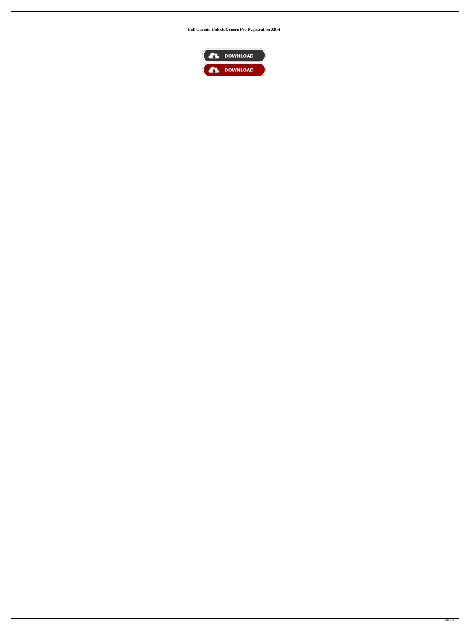**Full Garmin Unlock Genera Pro Registration 32bit**